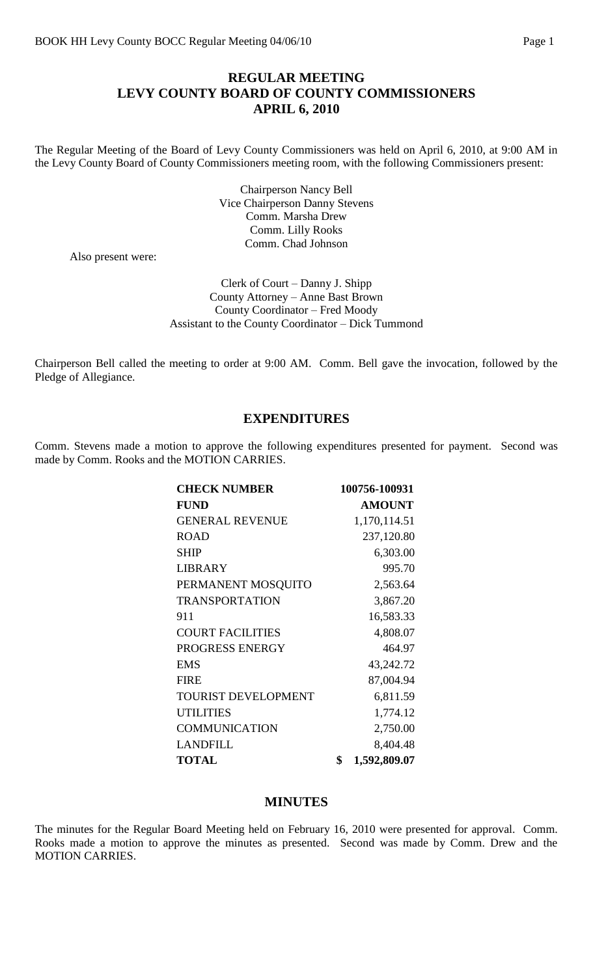### **REGULAR MEETING LEVY COUNTY BOARD OF COUNTY COMMISSIONERS APRIL 6, 2010**

The Regular Meeting of the Board of Levy County Commissioners was held on April 6, 2010, at 9:00 AM in the Levy County Board of County Commissioners meeting room, with the following Commissioners present:

> Chairperson Nancy Bell Vice Chairperson Danny Stevens Comm. Marsha Drew Comm. Lilly Rooks Comm. Chad Johnson

Also present were:

Clerk of Court – Danny J. Shipp County Attorney – Anne Bast Brown County Coordinator – Fred Moody Assistant to the County Coordinator – Dick Tummond

Chairperson Bell called the meeting to order at 9:00 AM. Comm. Bell gave the invocation, followed by the Pledge of Allegiance.

#### **EXPENDITURES**

Comm. Stevens made a motion to approve the following expenditures presented for payment. Second was made by Comm. Rooks and the MOTION CARRIES.

| <b>CHECK NUMBER</b>        | 100756-100931      |
|----------------------------|--------------------|
| <b>FUND</b>                | <b>AMOUNT</b>      |
| <b>GENERAL REVENUE</b>     | 1,170,114.51       |
| <b>ROAD</b>                | 237,120.80         |
| <b>SHIP</b>                | 6,303.00           |
| <b>LIBRARY</b>             | 995.70             |
| PERMANENT MOSQUITO         | 2,563.64           |
| <b>TRANSPORTATION</b>      | 3,867.20           |
| 911                        | 16,583.33          |
| <b>COURT FACILITIES</b>    | 4,808.07           |
| PROGRESS ENERGY            | 464.97             |
| <b>EMS</b>                 | 43,242.72          |
| <b>FIRE</b>                | 87,004.94          |
| <b>TOURIST DEVELOPMENT</b> | 6,811.59           |
| <b>UTILITIES</b>           | 1,774.12           |
| <b>COMMUNICATION</b>       | 2,750.00           |
| <b>LANDFILL</b>            | 8,404.48           |
| <b>TOTAL</b>               | \$<br>1,592,809.07 |

#### **MINUTES**

The minutes for the Regular Board Meeting held on February 16, 2010 were presented for approval. Comm. Rooks made a motion to approve the minutes as presented. Second was made by Comm. Drew and the MOTION CARRIES.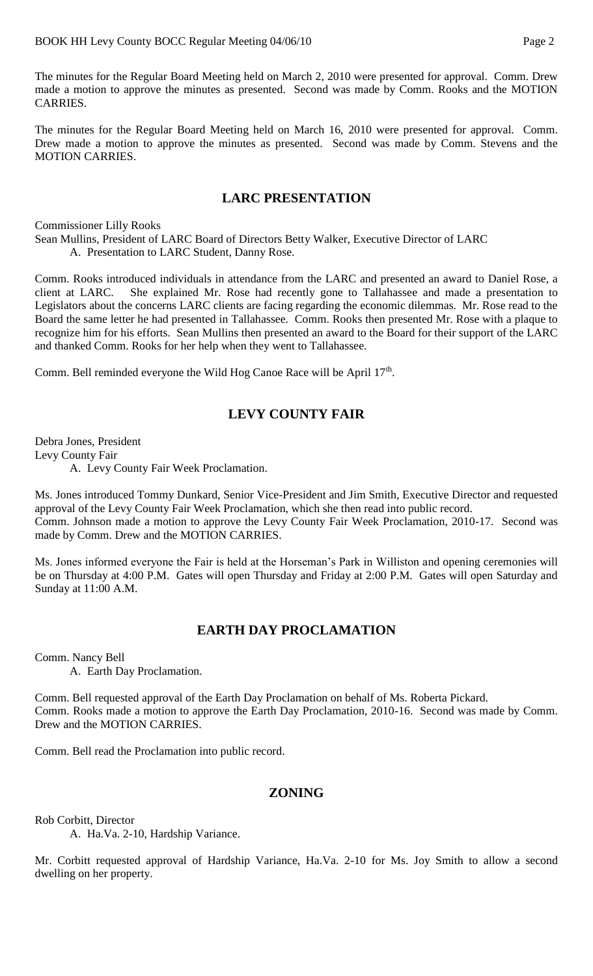The minutes for the Regular Board Meeting held on March 2, 2010 were presented for approval. Comm. Drew made a motion to approve the minutes as presented. Second was made by Comm. Rooks and the MOTION CARRIES.

The minutes for the Regular Board Meeting held on March 16, 2010 were presented for approval. Comm. Drew made a motion to approve the minutes as presented. Second was made by Comm. Stevens and the MOTION CARRIES.

## **LARC PRESENTATION**

Commissioner Lilly Rooks

- Sean Mullins, President of LARC Board of Directors Betty Walker, Executive Director of LARC
	- A. Presentation to LARC Student, Danny Rose.

Comm. Rooks introduced individuals in attendance from the LARC and presented an award to Daniel Rose, a client at LARC. She explained Mr. Rose had recently gone to Tallahassee and made a presentation to Legislators about the concerns LARC clients are facing regarding the economic dilemmas. Mr. Rose read to the Board the same letter he had presented in Tallahassee. Comm. Rooks then presented Mr. Rose with a plaque to recognize him for his efforts. Sean Mullins then presented an award to the Board for their support of the LARC and thanked Comm. Rooks for her help when they went to Tallahassee.

Comm. Bell reminded everyone the Wild Hog Canoe Race will be April 17<sup>th</sup>.

# **LEVY COUNTY FAIR**

Debra Jones, President Levy County Fair

A. Levy County Fair Week Proclamation.

Ms. Jones introduced Tommy Dunkard, Senior Vice-President and Jim Smith, Executive Director and requested approval of the Levy County Fair Week Proclamation, which she then read into public record. Comm. Johnson made a motion to approve the Levy County Fair Week Proclamation, 2010-17. Second was made by Comm. Drew and the MOTION CARRIES.

Ms. Jones informed everyone the Fair is held at the Horseman's Park in Williston and opening ceremonies will be on Thursday at 4:00 P.M. Gates will open Thursday and Friday at 2:00 P.M. Gates will open Saturday and Sunday at 11:00 A.M.

# **EARTH DAY PROCLAMATION**

Comm. Nancy Bell A. Earth Day Proclamation.

Comm. Bell requested approval of the Earth Day Proclamation on behalf of Ms. Roberta Pickard. Comm. Rooks made a motion to approve the Earth Day Proclamation, 2010-16. Second was made by Comm. Drew and the MOTION CARRIES.

Comm. Bell read the Proclamation into public record.

## **ZONING**

Rob Corbitt, Director

A. Ha.Va. 2-10, Hardship Variance.

Mr. Corbitt requested approval of Hardship Variance, Ha.Va. 2-10 for Ms. Joy Smith to allow a second dwelling on her property.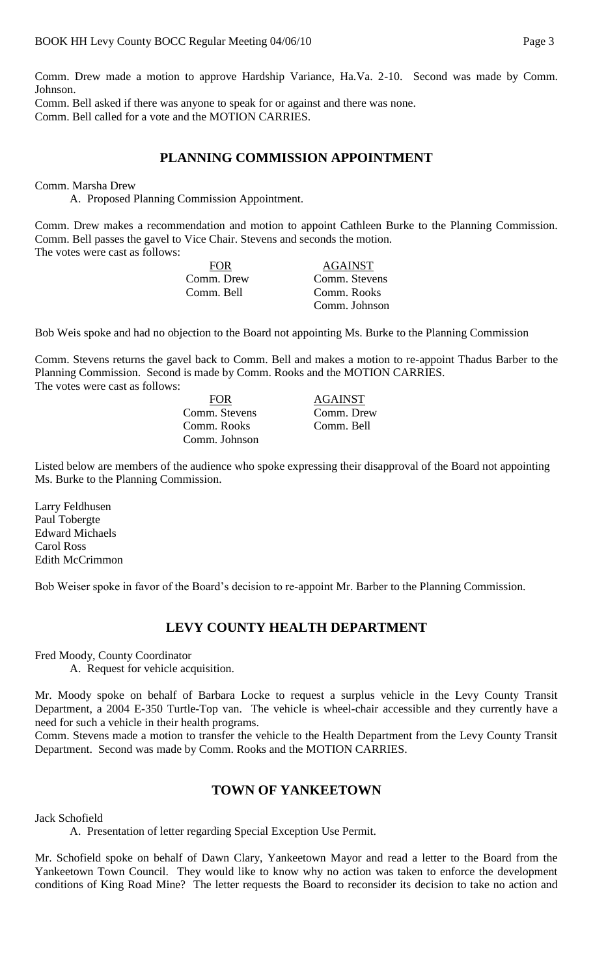Comm. Drew made a motion to approve Hardship Variance, Ha.Va. 2-10. Second was made by Comm. Johnson.

Comm. Bell asked if there was anyone to speak for or against and there was none. Comm. Bell called for a vote and the MOTION CARRIES.

#### **PLANNING COMMISSION APPOINTMENT**

#### Comm. Marsha Drew

A. Proposed Planning Commission Appointment.

Comm. Drew makes a recommendation and motion to appoint Cathleen Burke to the Planning Commission. Comm. Bell passes the gavel to Vice Chair. Stevens and seconds the motion. The votes were cast as follows:

| FOR.       | <b>AGAINST</b> |
|------------|----------------|
| Comm. Drew | Comm. Stevens  |
| Comm. Bell | Comm. Rooks    |
|            | Comm. Johnson  |

Bob Weis spoke and had no objection to the Board not appointing Ms. Burke to the Planning Commission

Comm. Stevens returns the gavel back to Comm. Bell and makes a motion to re-appoint Thadus Barber to the Planning Commission. Second is made by Comm. Rooks and the MOTION CARRIES. The votes were cast as follows:

> FOR AGAINST Comm. Stevens Comm. Drew Comm. Rooks Comm. Bell Comm. Johnson

Listed below are members of the audience who spoke expressing their disapproval of the Board not appointing Ms. Burke to the Planning Commission.

Larry Feldhusen Paul Tobergte Edward Michaels Carol Ross Edith McCrimmon

Bob Weiser spoke in favor of the Board's decision to re-appoint Mr. Barber to the Planning Commission.

## **LEVY COUNTY HEALTH DEPARTMENT**

Fred Moody, County Coordinator A. Request for vehicle acquisition.

Mr. Moody spoke on behalf of Barbara Locke to request a surplus vehicle in the Levy County Transit Department, a 2004 E-350 Turtle-Top van. The vehicle is wheel-chair accessible and they currently have a need for such a vehicle in their health programs.

Comm. Stevens made a motion to transfer the vehicle to the Health Department from the Levy County Transit Department. Second was made by Comm. Rooks and the MOTION CARRIES.

## **TOWN OF YANKEETOWN**

Jack Schofield

A. Presentation of letter regarding Special Exception Use Permit.

Mr. Schofield spoke on behalf of Dawn Clary, Yankeetown Mayor and read a letter to the Board from the Yankeetown Town Council. They would like to know why no action was taken to enforce the development conditions of King Road Mine? The letter requests the Board to reconsider its decision to take no action and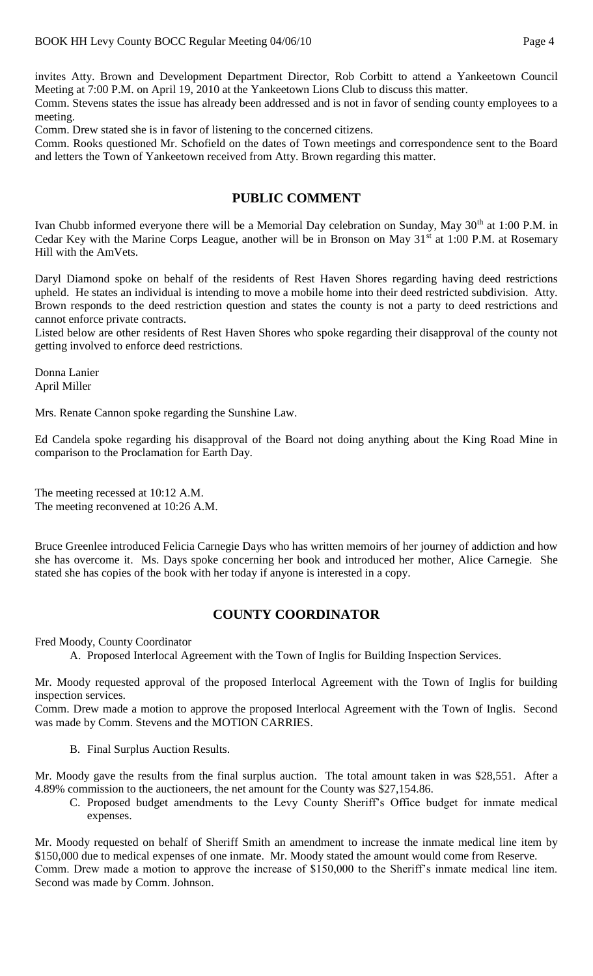invites Atty. Brown and Development Department Director, Rob Corbitt to attend a Yankeetown Council Meeting at 7:00 P.M. on April 19, 2010 at the Yankeetown Lions Club to discuss this matter.

Comm. Stevens states the issue has already been addressed and is not in favor of sending county employees to a meeting.

Comm. Drew stated she is in favor of listening to the concerned citizens.

Comm. Rooks questioned Mr. Schofield on the dates of Town meetings and correspondence sent to the Board and letters the Town of Yankeetown received from Atty. Brown regarding this matter.

### **PUBLIC COMMENT**

Ivan Chubb informed everyone there will be a Memorial Day celebration on Sunday, May 30<sup>th</sup> at 1:00 P.M. in Cedar Key with the Marine Corps League, another will be in Bronson on May 31<sup>st</sup> at 1:00 P.M. at Rosemary Hill with the AmVets.

Daryl Diamond spoke on behalf of the residents of Rest Haven Shores regarding having deed restrictions upheld. He states an individual is intending to move a mobile home into their deed restricted subdivision. Atty. Brown responds to the deed restriction question and states the county is not a party to deed restrictions and cannot enforce private contracts.

Listed below are other residents of Rest Haven Shores who spoke regarding their disapproval of the county not getting involved to enforce deed restrictions.

Donna Lanier April Miller

Mrs. Renate Cannon spoke regarding the Sunshine Law.

Ed Candela spoke regarding his disapproval of the Board not doing anything about the King Road Mine in comparison to the Proclamation for Earth Day.

The meeting recessed at 10:12 A.M. The meeting reconvened at 10:26 A.M.

Bruce Greenlee introduced Felicia Carnegie Days who has written memoirs of her journey of addiction and how she has overcome it. Ms. Days spoke concerning her book and introduced her mother, Alice Carnegie. She stated she has copies of the book with her today if anyone is interested in a copy.

## **COUNTY COORDINATOR**

Fred Moody, County Coordinator

A. Proposed Interlocal Agreement with the Town of Inglis for Building Inspection Services.

Mr. Moody requested approval of the proposed Interlocal Agreement with the Town of Inglis for building inspection services.

Comm. Drew made a motion to approve the proposed Interlocal Agreement with the Town of Inglis. Second was made by Comm. Stevens and the MOTION CARRIES.

B. Final Surplus Auction Results.

Mr. Moody gave the results from the final surplus auction. The total amount taken in was \$28,551. After a 4.89% commission to the auctioneers, the net amount for the County was \$27,154.86.

C. Proposed budget amendments to the Levy County Sheriff's Office budget for inmate medical expenses.

Mr. Moody requested on behalf of Sheriff Smith an amendment to increase the inmate medical line item by \$150,000 due to medical expenses of one inmate. Mr. Moody stated the amount would come from Reserve. Comm. Drew made a motion to approve the increase of \$150,000 to the Sheriff's inmate medical line item. Second was made by Comm. Johnson.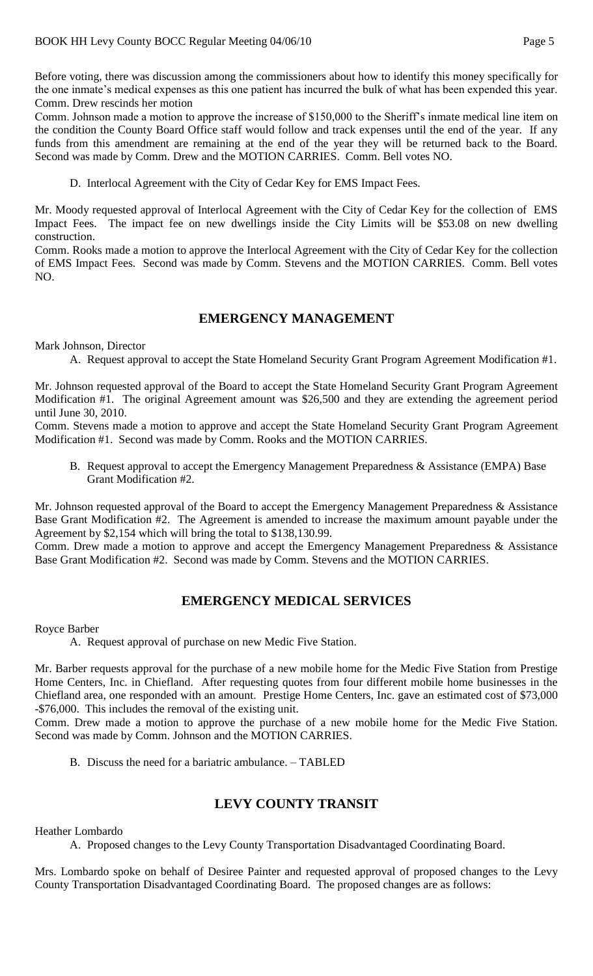Before voting, there was discussion among the commissioners about how to identify this money specifically for the one inmate's medical expenses as this one patient has incurred the bulk of what has been expended this year. Comm. Drew rescinds her motion

Comm. Johnson made a motion to approve the increase of \$150,000 to the Sheriff's inmate medical line item on the condition the County Board Office staff would follow and track expenses until the end of the year. If any funds from this amendment are remaining at the end of the year they will be returned back to the Board. Second was made by Comm. Drew and the MOTION CARRIES. Comm. Bell votes NO.

D. Interlocal Agreement with the City of Cedar Key for EMS Impact Fees.

Mr. Moody requested approval of Interlocal Agreement with the City of Cedar Key for the collection of EMS Impact Fees. The impact fee on new dwellings inside the City Limits will be \$53.08 on new dwelling construction.

Comm. Rooks made a motion to approve the Interlocal Agreement with the City of Cedar Key for the collection of EMS Impact Fees. Second was made by Comm. Stevens and the MOTION CARRIES. Comm. Bell votes NO.

## **EMERGENCY MANAGEMENT**

Mark Johnson, Director

A. Request approval to accept the State Homeland Security Grant Program Agreement Modification #1.

Mr. Johnson requested approval of the Board to accept the State Homeland Security Grant Program Agreement Modification #1. The original Agreement amount was \$26,500 and they are extending the agreement period until June 30, 2010.

Comm. Stevens made a motion to approve and accept the State Homeland Security Grant Program Agreement Modification #1. Second was made by Comm. Rooks and the MOTION CARRIES.

B. Request approval to accept the Emergency Management Preparedness & Assistance (EMPA) Base Grant Modification #2.

Mr. Johnson requested approval of the Board to accept the Emergency Management Preparedness & Assistance Base Grant Modification #2. The Agreement is amended to increase the maximum amount payable under the Agreement by \$2,154 which will bring the total to \$138,130.99.

Comm. Drew made a motion to approve and accept the Emergency Management Preparedness & Assistance Base Grant Modification #2. Second was made by Comm. Stevens and the MOTION CARRIES.

## **EMERGENCY MEDICAL SERVICES**

Royce Barber

A. Request approval of purchase on new Medic Five Station.

Mr. Barber requests approval for the purchase of a new mobile home for the Medic Five Station from Prestige Home Centers, Inc. in Chiefland. After requesting quotes from four different mobile home businesses in the Chiefland area, one responded with an amount. Prestige Home Centers, Inc. gave an estimated cost of \$73,000 -\$76,000. This includes the removal of the existing unit.

Comm. Drew made a motion to approve the purchase of a new mobile home for the Medic Five Station. Second was made by Comm. Johnson and the MOTION CARRIES.

B. Discuss the need for a bariatric ambulance. – TABLED

## **LEVY COUNTY TRANSIT**

Heather Lombardo

A. Proposed changes to the Levy County Transportation Disadvantaged Coordinating Board.

Mrs. Lombardo spoke on behalf of Desiree Painter and requested approval of proposed changes to the Levy County Transportation Disadvantaged Coordinating Board. The proposed changes are as follows: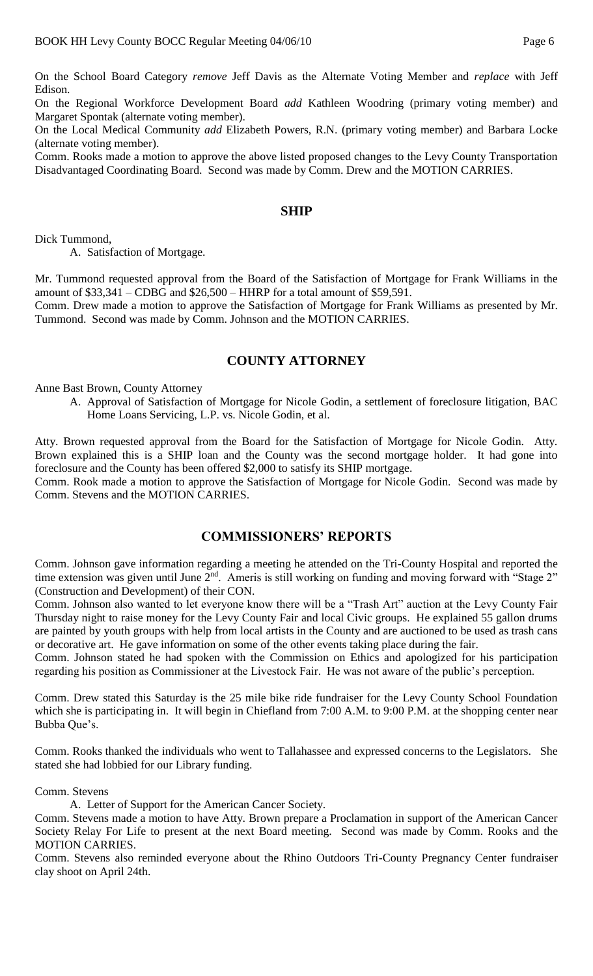On the School Board Category *remove* Jeff Davis as the Alternate Voting Member and *replace* with Jeff Edison.

On the Regional Workforce Development Board *add* Kathleen Woodring (primary voting member) and Margaret Spontak (alternate voting member).

On the Local Medical Community *add* Elizabeth Powers, R.N. (primary voting member) and Barbara Locke (alternate voting member).

Comm. Rooks made a motion to approve the above listed proposed changes to the Levy County Transportation Disadvantaged Coordinating Board. Second was made by Comm. Drew and the MOTION CARRIES.

#### **SHIP**

Dick Tummond,

A. Satisfaction of Mortgage.

Mr. Tummond requested approval from the Board of the Satisfaction of Mortgage for Frank Williams in the amount of \$33,341 – CDBG and \$26,500 – HHRP for a total amount of \$59,591.

Comm. Drew made a motion to approve the Satisfaction of Mortgage for Frank Williams as presented by Mr. Tummond. Second was made by Comm. Johnson and the MOTION CARRIES.

### **COUNTY ATTORNEY**

Anne Bast Brown, County Attorney

A. Approval of Satisfaction of Mortgage for Nicole Godin, a settlement of foreclosure litigation, BAC Home Loans Servicing, L.P. vs. Nicole Godin, et al.

Atty. Brown requested approval from the Board for the Satisfaction of Mortgage for Nicole Godin. Atty. Brown explained this is a SHIP loan and the County was the second mortgage holder. It had gone into foreclosure and the County has been offered \$2,000 to satisfy its SHIP mortgage.

Comm. Rook made a motion to approve the Satisfaction of Mortgage for Nicole Godin. Second was made by Comm. Stevens and the MOTION CARRIES.

#### **COMMISSIONERS' REPORTS**

Comm. Johnson gave information regarding a meeting he attended on the Tri-County Hospital and reported the time extension was given until June 2<sup>nd</sup>. Ameris is still working on funding and moving forward with "Stage 2" (Construction and Development) of their CON.

Comm. Johnson also wanted to let everyone know there will be a "Trash Art" auction at the Levy County Fair Thursday night to raise money for the Levy County Fair and local Civic groups. He explained 55 gallon drums are painted by youth groups with help from local artists in the County and are auctioned to be used as trash cans or decorative art. He gave information on some of the other events taking place during the fair.

Comm. Johnson stated he had spoken with the Commission on Ethics and apologized for his participation regarding his position as Commissioner at the Livestock Fair. He was not aware of the public's perception.

Comm. Drew stated this Saturday is the 25 mile bike ride fundraiser for the Levy County School Foundation which she is participating in. It will begin in Chiefland from 7:00 A.M. to 9:00 P.M. at the shopping center near Bubba Que's.

Comm. Rooks thanked the individuals who went to Tallahassee and expressed concerns to the Legislators. She stated she had lobbied for our Library funding.

Comm. Stevens

A. Letter of Support for the American Cancer Society.

Comm. Stevens made a motion to have Atty. Brown prepare a Proclamation in support of the American Cancer Society Relay For Life to present at the next Board meeting. Second was made by Comm. Rooks and the MOTION CARRIES.

Comm. Stevens also reminded everyone about the Rhino Outdoors Tri-County Pregnancy Center fundraiser clay shoot on April 24th.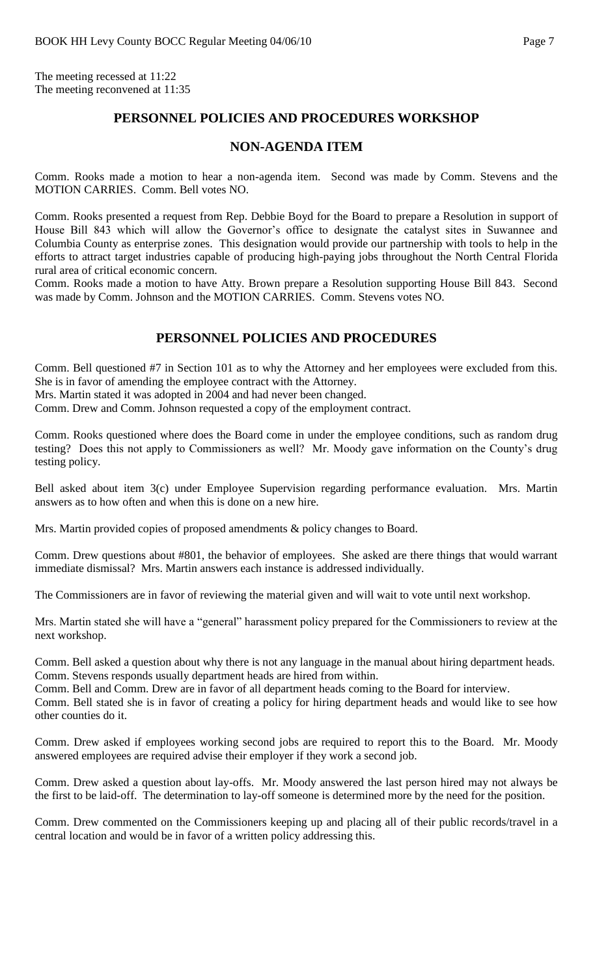The meeting recessed at 11:22 The meeting reconvened at 11:35

# **PERSONNEL POLICIES AND PROCEDURES WORKSHOP**

#### **NON-AGENDA ITEM**

Comm. Rooks made a motion to hear a non-agenda item. Second was made by Comm. Stevens and the MOTION CARRIES. Comm. Bell votes NO.

Comm. Rooks presented a request from Rep. Debbie Boyd for the Board to prepare a Resolution in support of House Bill 843 which will allow the Governor's office to designate the catalyst sites in Suwannee and Columbia County as enterprise zones. This designation would provide our partnership with tools to help in the efforts to attract target industries capable of producing high-paying jobs throughout the North Central Florida rural area of critical economic concern.

Comm. Rooks made a motion to have Atty. Brown prepare a Resolution supporting House Bill 843. Second was made by Comm. Johnson and the MOTION CARRIES. Comm. Stevens votes NO.

# **PERSONNEL POLICIES AND PROCEDURES**

Comm. Bell questioned #7 in Section 101 as to why the Attorney and her employees were excluded from this. She is in favor of amending the employee contract with the Attorney.

Mrs. Martin stated it was adopted in 2004 and had never been changed.

Comm. Drew and Comm. Johnson requested a copy of the employment contract.

Comm. Rooks questioned where does the Board come in under the employee conditions, such as random drug testing? Does this not apply to Commissioners as well? Mr. Moody gave information on the County's drug testing policy.

Bell asked about item 3(c) under Employee Supervision regarding performance evaluation. Mrs. Martin answers as to how often and when this is done on a new hire.

Mrs. Martin provided copies of proposed amendments & policy changes to Board.

Comm. Drew questions about #801, the behavior of employees. She asked are there things that would warrant immediate dismissal? Mrs. Martin answers each instance is addressed individually.

The Commissioners are in favor of reviewing the material given and will wait to vote until next workshop.

Mrs. Martin stated she will have a "general" harassment policy prepared for the Commissioners to review at the next workshop.

Comm. Bell asked a question about why there is not any language in the manual about hiring department heads. Comm. Stevens responds usually department heads are hired from within.

Comm. Bell and Comm. Drew are in favor of all department heads coming to the Board for interview.

Comm. Bell stated she is in favor of creating a policy for hiring department heads and would like to see how other counties do it.

Comm. Drew asked if employees working second jobs are required to report this to the Board. Mr. Moody answered employees are required advise their employer if they work a second job.

Comm. Drew asked a question about lay-offs. Mr. Moody answered the last person hired may not always be the first to be laid-off. The determination to lay-off someone is determined more by the need for the position.

Comm. Drew commented on the Commissioners keeping up and placing all of their public records/travel in a central location and would be in favor of a written policy addressing this.